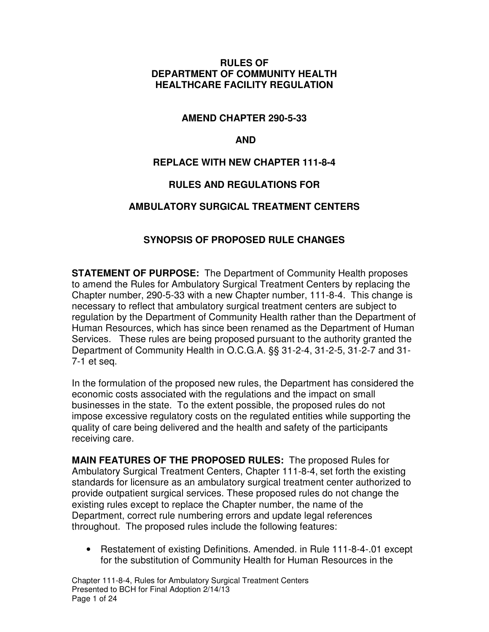#### **RULES OF DEPARTMENT OF COMMUNITY HEALTH HEALTHCARE FACILITY REGULATION**

#### **AMEND CHAPTER 290-5-33**

#### **AND**

### **REPLACE WITH NEW CHAPTER 111-8-4**

### **RULES AND REGULATIONS FOR**

#### **AMBULATORY SURGICAL TREATMENT CENTERS**

### **SYNOPSIS OF PROPOSED RULE CHANGES**

**STATEMENT OF PURPOSE:** The Department of Community Health proposes to amend the Rules for Ambulatory Surgical Treatment Centers by replacing the Chapter number, 290-5-33 with a new Chapter number, 111-8-4. This change is necessary to reflect that ambulatory surgical treatment centers are subject to regulation by the Department of Community Health rather than the Department of Human Resources, which has since been renamed as the Department of Human Services. These rules are being proposed pursuant to the authority granted the Department of Community Health in O.C.G.A. §§ 31-2-4, 31-2-5, 31-2-7 and 31- 7-1 et seq.

In the formulation of the proposed new rules, the Department has considered the economic costs associated with the regulations and the impact on small businesses in the state. To the extent possible, the proposed rules do not impose excessive regulatory costs on the regulated entities while supporting the quality of care being delivered and the health and safety of the participants receiving care.

**MAIN FEATURES OF THE PROPOSED RULES:** The proposed Rules for Ambulatory Surgical Treatment Centers, Chapter 111-8-4, set forth the existing standards for licensure as an ambulatory surgical treatment center authorized to provide outpatient surgical services. These proposed rules do not change the existing rules except to replace the Chapter number, the name of the Department, correct rule numbering errors and update legal references throughout. The proposed rules include the following features:

• Restatement of existing Definitions. Amended. in Rule 111-8-4-.01 except for the substitution of Community Health for Human Resources in the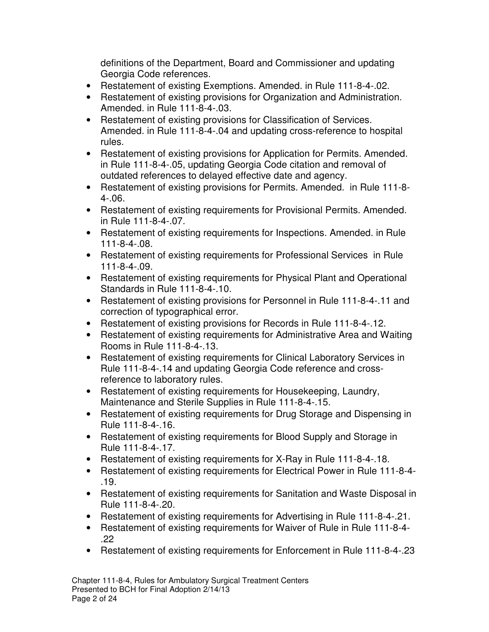definitions of the Department, Board and Commissioner and updating Georgia Code references.

- Restatement of existing Exemptions. Amended. in Rule 111-8-4-.02.
- Restatement of existing provisions for Organization and Administration. Amended. in Rule 111-8-4-.03.
- Restatement of existing provisions for Classification of Services. Amended. in Rule 111-8-4-.04 and updating cross-reference to hospital rules.
- Restatement of existing provisions for Application for Permits. Amended. in Rule 111-8-4-.05, updating Georgia Code citation and removal of outdated references to delayed effective date and agency.
- Restatement of existing provisions for Permits. Amended. in Rule 111-8- 4-.06.
- Restatement of existing requirements for Provisional Permits. Amended. in Rule 111-8-4-.07.
- Restatement of existing requirements for Inspections. Amended. in Rule 111-8-4-.08.
- Restatement of existing requirements for Professional Services in Rule 111-8-4-.09.
- Restatement of existing requirements for Physical Plant and Operational Standards in Rule 111-8-4-.10.
- Restatement of existing provisions for Personnel in Rule 111-8-4-.11 and correction of typographical error.
- Restatement of existing provisions for Records in Rule 111-8-4-.12.
- Restatement of existing requirements for Administrative Area and Waiting Rooms in Rule 111-8-4-.13.
- Restatement of existing requirements for Clinical Laboratory Services in Rule 111-8-4-.14 and updating Georgia Code reference and crossreference to laboratory rules.
- Restatement of existing requirements for Housekeeping, Laundry, Maintenance and Sterile Supplies in Rule 111-8-4-.15.
- Restatement of existing requirements for Drug Storage and Dispensing in Rule 111-8-4-.16.
- Restatement of existing requirements for Blood Supply and Storage in Rule 111-8-4-.17.
- Restatement of existing requirements for X-Ray in Rule 111-8-4-.18.
- Restatement of existing requirements for Electrical Power in Rule 111-8-4- .19.
- Restatement of existing requirements for Sanitation and Waste Disposal in Rule 111-8-4-.20.
- Restatement of existing requirements for Advertising in Rule 111-8-4-.21.
- Restatement of existing requirements for Waiver of Rule in Rule 111-8-4- .22
- Restatement of existing requirements for Enforcement in Rule 111-8-4-.23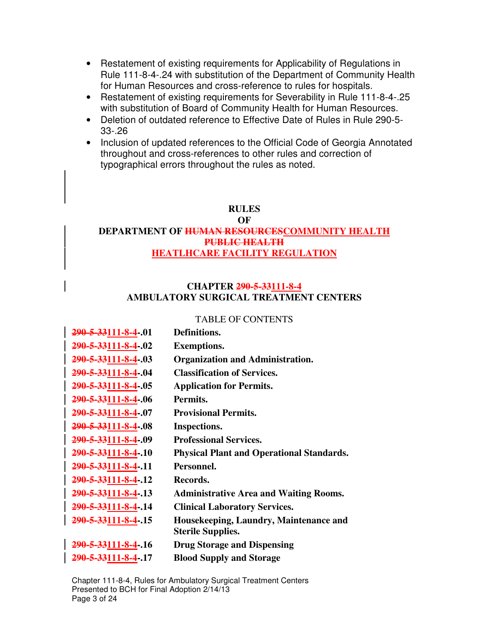- Restatement of existing requirements for Applicability of Regulations in Rule 111-8-4-.24 with substitution of the Department of Community Health for Human Resources and cross-reference to rules for hospitals.
- Restatement of existing requirements for Severability in Rule 111-8-4-.25 with substitution of Board of Community Health for Human Resources.
- Deletion of outdated reference to Effective Date of Rules in Rule 290-5- 33-.26
- Inclusion of updated references to the Official Code of Georgia Annotated throughout and cross-references to other rules and correction of typographical errors throughout the rules as noted.

#### **RULES**

#### **OF DEPARTMENT OF HUMAN RESOURCESCOMMUNITY HEALTH PUBLIC HEALTH HEATLHCARE FACILITY REGULATION**

#### **CHAPTER 290-5-33111-8-4 AMBULATORY SURGICAL TREATMENT CENTERS**

#### TABLE OF CONTENTS

| 290-5-33111-8-4-.01             | Definitions.                                     |
|---------------------------------|--------------------------------------------------|
| 290-5-33111-8-4-.02             | <b>Exemptions.</b>                               |
| 290-5-33111-8-4-.03             | <b>Organization and Administration.</b>          |
| 290-5-33111-8-4-.04             | <b>Classification of Services.</b>               |
| 290-5-33111-8-4-.05             | <b>Application for Permits.</b>                  |
| 290-5-33111-8-4-.06             | Permits.                                         |
| 290-5-33111-8-4-.07             | <b>Provisional Permits.</b>                      |
| 290-5-33111-8-4-.08             | Inspections.                                     |
| 290-5-33111-8-4.09              | <b>Professional Services.</b>                    |
| 290-5-33111-8-4-.10             | <b>Physical Plant and Operational Standards.</b> |
| 290-5-33111-8-4-.11             | Personnel.                                       |
| 290-5-33111-8-4-.12             | Records.                                         |
| <del>290-5-33</del> 111-8-4-.13 | <b>Administrative Area and Waiting Rooms.</b>    |
| 290-5-33111-8-4-.14             | <b>Clinical Laboratory Services.</b>             |
| 290-5-33111-8-4-.15             | Housekeeping, Laundry, Maintenance and           |
|                                 | <b>Sterile Supplies.</b>                         |
| <del>290-5-33</del> 111-8-4-.16 | <b>Drug Storage and Dispensing</b>               |
| 290-5-33111-8-4-.17             | <b>Blood Supply and Storage</b>                  |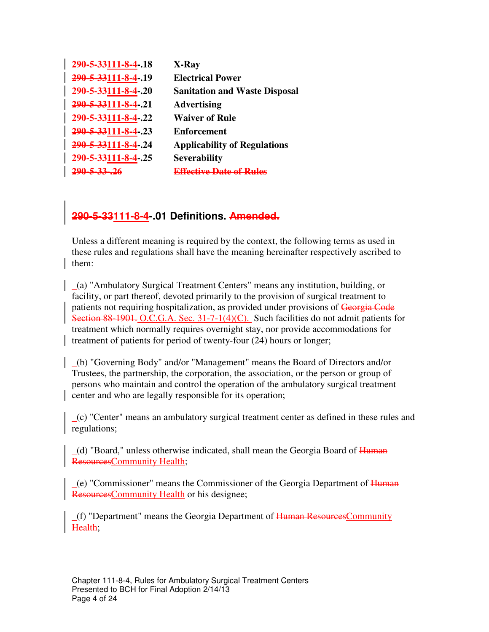| 290-5-33111-8-4-.18     | X-Ray                                |
|-------------------------|--------------------------------------|
| 290-5-33111-8-4-.19     | <b>Electrical Power</b>              |
| 290-5-33111-8-4-.20     | <b>Sanitation and Waste Disposal</b> |
| 290-5-33111-8-4-.21     | <b>Advertising</b>                   |
| 290-5-33111-8-4-.22     | <b>Waiver of Rule</b>                |
| 290-5-33111-8-4-.23     | <b>Enforcement</b>                   |
| 290-5-33111-8-4-.24     | <b>Applicability of Regulations</b>  |
| 290-5-33111-8-4-.25     | <b>Severability</b>                  |
| <del>290-5-33-.26</del> | Effective Date of Rules              |

## **290-5-33111-8-4-.01 Definitions. Amended.**

Unless a different meaning is required by the context, the following terms as used in these rules and regulations shall have the meaning hereinafter respectively ascribed to them:

 (a) "Ambulatory Surgical Treatment Centers" means any institution, building, or facility, or part thereof, devoted primarily to the provision of surgical treatment to patients not requiring hospitalization, as provided under provisions of Georgia Code Section 88-1901. O.C.G.A. Sec. 31-7-1(4)(C). Such facilities do not admit patients for treatment which normally requires overnight stay, nor provide accommodations for treatment of patients for period of twenty-four (24) hours or longer;

 (b) "Governing Body" and/or "Management" means the Board of Directors and/or Trustees, the partnership, the corporation, the association, or the person or group of persons who maintain and control the operation of the ambulatory surgical treatment center and who are legally responsible for its operation;

 (c) "Center" means an ambulatory surgical treatment center as defined in these rules and regulations;

(d) "Board," unless otherwise indicated, shall mean the Georgia Board of Human ResourcesCommunity Health;

 (e) "Commissioner" means the Commissioner of the Georgia Department of Human ResourcesCommunity Health or his designee;

(f) "Department" means the Georgia Department of Human Resources Community Health;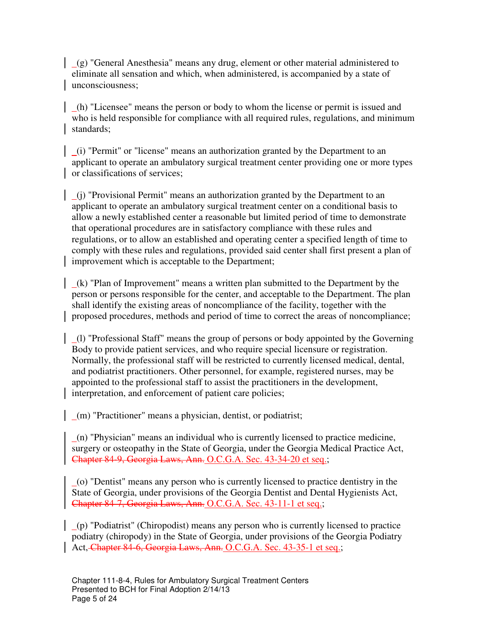(g) "General Anesthesia" means any drug, element or other material administered to eliminate all sensation and which, when administered, is accompanied by a state of unconsciousness;

 (h) "Licensee" means the person or body to whom the license or permit is issued and who is held responsible for compliance with all required rules, regulations, and minimum standards;

 (i) "Permit" or "license" means an authorization granted by the Department to an applicant to operate an ambulatory surgical treatment center providing one or more types or classifications of services;

 (j) "Provisional Permit" means an authorization granted by the Department to an applicant to operate an ambulatory surgical treatment center on a conditional basis to allow a newly established center a reasonable but limited period of time to demonstrate that operational procedures are in satisfactory compliance with these rules and regulations, or to allow an established and operating center a specified length of time to comply with these rules and regulations, provided said center shall first present a plan of improvement which is acceptable to the Department;

 (k) "Plan of Improvement" means a written plan submitted to the Department by the person or persons responsible for the center, and acceptable to the Department. The plan shall identify the existing areas of noncompliance of the facility, together with the proposed procedures, methods and period of time to correct the areas of noncompliance;

 (l) "Professional Staff" means the group of persons or body appointed by the Governing Body to provide patient services, and who require special licensure or registration. Normally, the professional staff will be restricted to currently licensed medical, dental, and podiatrist practitioners. Other personnel, for example, registered nurses, may be appointed to the professional staff to assist the practitioners in the development, interpretation, and enforcement of patient care policies;

(m) "Practitioner" means a physician, dentist, or podiatrist;

 $(n)$  "Physician" means an individual who is currently licensed to practice medicine, surgery or osteopathy in the State of Georgia, under the Georgia Medical Practice Act, Chapter 84-9, Georgia Laws, Ann. O.C.G.A. Sec. 43-34-20 et seq.;

 (o) "Dentist" means any person who is currently licensed to practice dentistry in the State of Georgia, under provisions of the Georgia Dentist and Dental Hygienists Act, Chapter 84-7, Georgia Laws, Ann. O.C.G.A. Sec. 43-11-1 et seq.;

 (p) "Podiatrist" (Chiropodist) means any person who is currently licensed to practice podiatry (chiropody) in the State of Georgia, under provisions of the Georgia Podiatry Act, Chapter 84-6, Georgia Laws, Ann. O.C.G.A. Sec. 43-35-1 et seq.;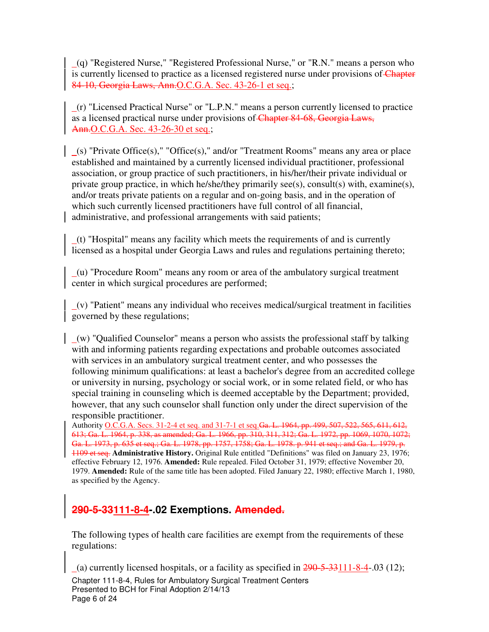(q) "Registered Nurse," "Registered Professional Nurse," or "R.N." means a person who is currently licensed to practice as a licensed registered nurse under provisions of Chapter 84-10, Georgia Laws, Ann.O.C.G.A. Sec. 43-26-1 et seq.;

 $(r)$  "Licensed Practical Nurse" or "L.P.N." means a person currently licensed to practice as a licensed practical nurse under provisions of Chapter 84-68, Georgia Laws, Ann.O.C.G.A. Sec. 43-26-30 et seq.;

 $($ s) "Private Office $($ s)," "Office $($ s)," and/or "Treatment Rooms" means any area or place established and maintained by a currently licensed individual practitioner, professional association, or group practice of such practitioners, in his/her/their private individual or private group practice, in which he/she/they primarily see(s), consult(s) with, examine(s), and/or treats private patients on a regular and on-going basis, and in the operation of which such currently licensed practitioners have full control of all financial, administrative, and professional arrangements with said patients;

 $(t)$  "Hospital" means any facility which meets the requirements of and is currently licensed as a hospital under Georgia Laws and rules and regulations pertaining thereto;

 $(u)$  "Procedure Room" means any room or area of the ambulatory surgical treatment center in which surgical procedures are performed;

 $(v)$  "Patient" means any individual who receives medical/surgical treatment in facilities governed by these regulations;

 (w) "Qualified Counselor" means a person who assists the professional staff by talking with and informing patients regarding expectations and probable outcomes associated with services in an ambulatory surgical treatment center, and who possesses the following minimum qualifications: at least a bachelor's degree from an accredited college or university in nursing, psychology or social work, or in some related field, or who has special training in counseling which is deemed acceptable by the Department; provided, however, that any such counselor shall function only under the direct supervision of the responsible practitioner.

Authority O.C.G.A. Secs. 31-2-4 et seq. and 31-7-1 et seq.Ga. L. 1964, pp. 499, 507, 522, 565, 611, 612, 613; Ga. L. 1964, p. 338, as amended; Ga. L. 1966, pp. 310, 311, 312; Ga. L. 1972, pp. 1069, 1070, 1072; Ga. L. 1973, p. 635 et seq.; Ga. L. 1978, pp. 1757, 1758; Ga. L. 1978. p. 941 et seq.; and Ga. L. 1979, p. 1109 et seq. **Administrative History.** Original Rule entitled "Definitions" was filed on January 23, 1976; effective February 12, 1976. **Amended:** Rule repealed. Filed October 31, 1979; effective November 20, 1979. **Amended:** Rule of the same title has been adopted. Filed January 22, 1980; effective March 1, 1980, as specified by the Agency.

# **290-5-33111-8-4-.02 Exemptions. Amended.**

The following types of health care facilities are exempt from the requirements of these regulations:

Chapter 111-8-4, Rules for Ambulatory Surgical Treatment Centers Presented to BCH for Final Adoption 2/14/13 Page 6 of 24 (a) currently licensed hospitals, or a facility as specified in  $290-5-33111-8-4$ -.03 (12);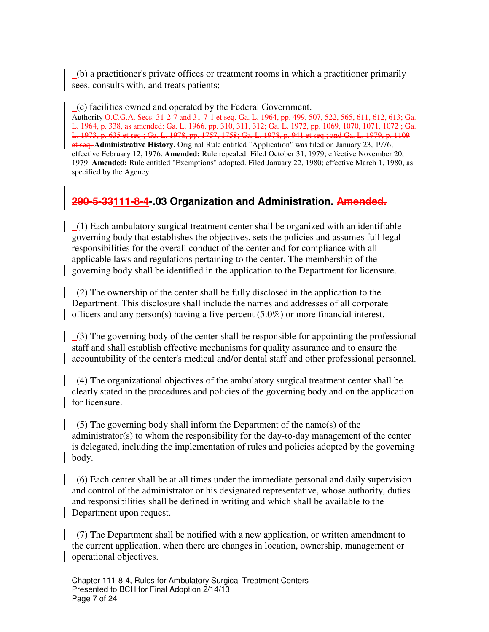(b) a practitioner's private offices or treatment rooms in which a practitioner primarily sees, consults with, and treats patients;

 (c) facilities owned and operated by the Federal Government. Authority O.C.G.A. Secs. 31-2-7 and 31-7-1 et seq. Ga. L. 1964, pp. 499, 507, 522, 565, 611, 612, 613; Ga. L. 1964, p. 338, as amended; Ga. L. 1966, pp. 310, 311, 312; Ga. L. 1972, pp. 1069, 1070, 1071, 1072 ; Ga. L. 1973, p. 635 et seq.; Ga. L. 1978, pp. 1757, 1758; Ga. L. 1978, p. 941 et seq.; and Ga. L. 1979, p. 1109 et seq. **Administrative History.** Original Rule entitled "Application" was filed on January 23, 1976; effective February 12, 1976. **Amended:** Rule repealed. Filed October 31, 1979; effective November 20, 1979. **Amended:** Rule entitled "Exemptions" adopted. Filed January 22, 1980; effective March 1, 1980, as specified by the Agency.

## **290-5-33111-8-4-.03 Organization and Administration. Amended.**

 (1) Each ambulatory surgical treatment center shall be organized with an identifiable governing body that establishes the objectives, sets the policies and assumes full legal responsibilities for the overall conduct of the center and for compliance with all applicable laws and regulations pertaining to the center. The membership of the governing body shall be identified in the application to the Department for licensure.

 $(2)$  The ownership of the center shall be fully disclosed in the application to the Department. This disclosure shall include the names and addresses of all corporate officers and any person(s) having a five percent (5.0%) or more financial interest.

 (3) The governing body of the center shall be responsible for appointing the professional staff and shall establish effective mechanisms for quality assurance and to ensure the accountability of the center's medical and/or dental staff and other professional personnel.

 (4) The organizational objectives of the ambulatory surgical treatment center shall be clearly stated in the procedures and policies of the governing body and on the application for licensure.

 $(5)$  The governing body shall inform the Department of the name(s) of the administrator(s) to whom the responsibility for the day-to-day management of the center is delegated, including the implementation of rules and policies adopted by the governing body.

 (6) Each center shall be at all times under the immediate personal and daily supervision and control of the administrator or his designated representative, whose authority, duties and responsibilities shall be defined in writing and which shall be available to the Department upon request.

 $(7)$  The Department shall be notified with a new application, or written amendment to the current application, when there are changes in location, ownership, management or operational objectives.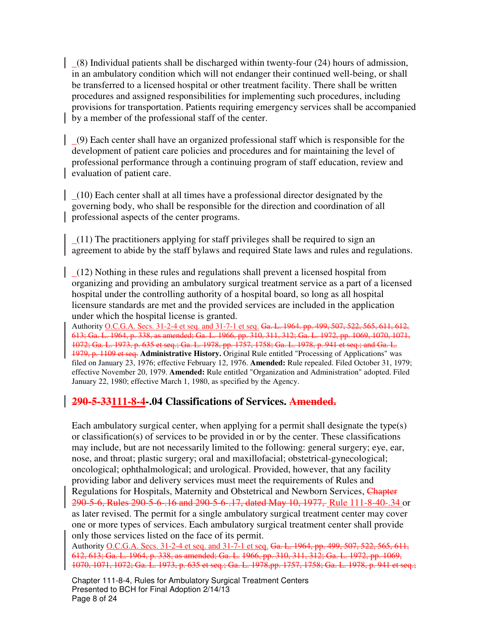(8) Individual patients shall be discharged within twenty-four (24) hours of admission, in an ambulatory condition which will not endanger their continued well-being, or shall be transferred to a licensed hospital or other treatment facility. There shall be written procedures and assigned responsibilities for implementing such procedures, including provisions for transportation. Patients requiring emergency services shall be accompanied by a member of the professional staff of the center.

 (9) Each center shall have an organized professional staff which is responsible for the development of patient care policies and procedures and for maintaining the level of professional performance through a continuing program of staff education, review and evaluation of patient care.

 (10) Each center shall at all times have a professional director designated by the governing body, who shall be responsible for the direction and coordination of all professional aspects of the center programs.

 $(11)$  The practitioners applying for staff privileges shall be required to sign an agreement to abide by the staff bylaws and required State laws and rules and regulations.

 (12) Nothing in these rules and regulations shall prevent a licensed hospital from organizing and providing an ambulatory surgical treatment service as a part of a licensed hospital under the controlling authority of a hospital board, so long as all hospital licensure standards are met and the provided services are included in the application under which the hospital license is granted.

Authority O.C.G.A. Secs. 31-2-4 et seq. and 31-7-1 et seq. Ga. L. 1964. pp. 499, 507, 522, 565, 611, 612, 613; Ga. L. 1964, p. 338, as amended; Ga. L. 1966, pp. 310, 311, 312; Ga. L. 1972, pp. 1069, 1070, 1071, 1072; Ga. L. 1973, p. 635 et seq.; Ga. L. 1978, pp. 1757, 1758; Ga. L. 1978, p. 941 et seq.; and Ga. L. 1979, p. 1109 et seq. **Administrative History.** Original Rule entitled "Processing of Applications" was filed on January 23, 1976; effective February 12, 1976. **Amended:** Rule repealed. Filed October 31, 1979; effective November 20, 1979. **Amended:** Rule entitled "Organization and Administration" adopted. Filed January 22, 1980; effective March 1, 1980, as specified by the Agency.

### **290-5-33111-8-4-.04 Classifications of Services. Amended.**

Each ambulatory surgical center, when applying for a permit shall designate the type(s) or classification(s) of services to be provided in or by the center. These classifications may include, but are not necessarily limited to the following: general surgery; eye, ear, nose, and throat; plastic surgery; oral and maxillofacial; obstetrical-gynecological; oncological; ophthalmological; and urological. Provided, however, that any facility providing labor and delivery services must meet the requirements of Rules and Regulations for Hospitals, Maternity and Obstetrical and Newborn Services, Chapter 290-5-6, Rules 290-5-6-.16 and 290-5-6-.17, dated May 10, 1977, Rule 111-8-40-.34 or as later revised. The permit for a single ambulatory surgical treatment center may cover one or more types of services. Each ambulatory surgical treatment center shall provide only those services listed on the face of its permit.

Authority O.C.G.A. Secs. 31-2-4 et seq. and 31-7-1 et seq. Ga. L. 1964, pp. 499, 507, 522, 565, 611, 612, 613; Ga. L. 1964, p. 338, as amended; Ga. L. 1966, pp. 310, 311, 312; Ga. L. 1972, pp. 1069, 1070, 1071, 1072; Ga. L. 1973, p. 635 et seq.; Ga. L. 1978,pp. 1757, 1758; Ga. L. 1978, p. 941 et seq.;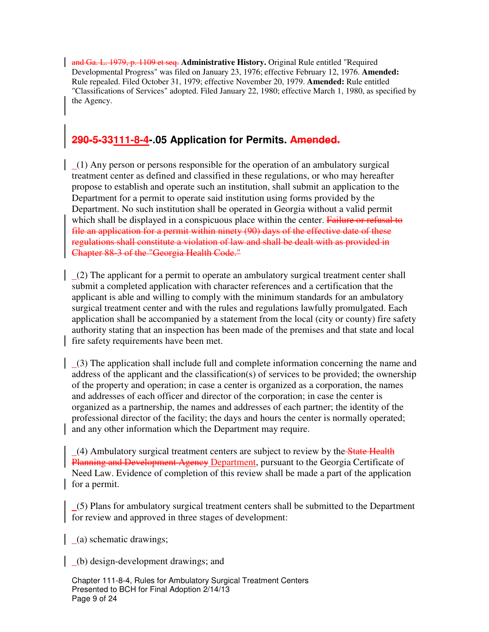and Ga. L. 1979, p. 1109 et seq. **Administrative History.** Original Rule entitled "Required Developmental Progress" was filed on January 23, 1976; effective February 12, 1976. **Amended:**  Rule repealed. Filed October 31, 1979; effective November 20, 1979. **Amended:** Rule entitled "Classifications of Services" adopted. Filed January 22, 1980; effective March 1, 1980, as specified by the Agency.

## **290-5-33111-8-4-.05 Application for Permits. Amended.**

 (1) Any person or persons responsible for the operation of an ambulatory surgical treatment center as defined and classified in these regulations, or who may hereafter propose to establish and operate such an institution, shall submit an application to the Department for a permit to operate said institution using forms provided by the Department. No such institution shall be operated in Georgia without a valid permit which shall be displayed in a conspicuous place within the center. Failure or refusal to file an application for a permit within ninety (90) days of the effective date of these regulations shall constitute a violation of law and shall be dealt with as provided in Chapter 88-3 of the "Georgia Health Code."

 $(2)$  The applicant for a permit to operate an ambulatory surgical treatment center shall submit a completed application with character references and a certification that the applicant is able and willing to comply with the minimum standards for an ambulatory surgical treatment center and with the rules and regulations lawfully promulgated. Each application shall be accompanied by a statement from the local (city or county) fire safety authority stating that an inspection has been made of the premises and that state and local fire safety requirements have been met.

 $(3)$  The application shall include full and complete information concerning the name and address of the applicant and the classification(s) of services to be provided; the ownership of the property and operation; in case a center is organized as a corporation, the names and addresses of each officer and director of the corporation; in case the center is organized as a partnership, the names and addresses of each partner; the identity of the professional director of the facility; the days and hours the center is normally operated; and any other information which the Department may require.

 $(4)$  Ambulatory surgical treatment centers are subject to review by the State Health Planning and Development Agency Department, pursuant to the Georgia Certificate of Need Law. Evidence of completion of this review shall be made a part of the application for a permit.

 (5) Plans for ambulatory surgical treatment centers shall be submitted to the Department for review and approved in three stages of development:

(a) schematic drawings;

(b) design-development drawings; and

Chapter 111-8-4, Rules for Ambulatory Surgical Treatment Centers Presented to BCH for Final Adoption 2/14/13 Page 9 of 24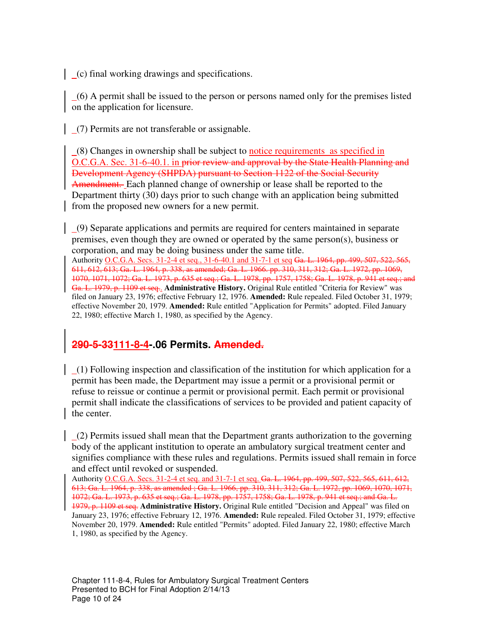(c) final working drawings and specifications.

 (6) A permit shall be issued to the person or persons named only for the premises listed on the application for licensure.

(7) Permits are not transferable or assignable.

 $(8)$  Changes in ownership shall be subject to notice requirements as specified in O.C.G.A. Sec. 31-6-40.1. in prior review and approval by the State Health Planning and Development Agency (SHPDA) pursuant to Section 1122 of the Social Security Amendment. Each planned change of ownership or lease shall be reported to the Department thirty (30) days prior to such change with an application being submitted from the proposed new owners for a new permit.

 (9) Separate applications and permits are required for centers maintained in separate premises, even though they are owned or operated by the same person(s), business or corporation, and may be doing business under the same title.

Authority O.C.G.A. Secs. 31-2-4 et seq., 31-6-40.1 and 31-7-1 et seq Ga. L. 1964, pp. 499, 507, 522, 565, 611, 612, 613; Ga. L. 1964, p. 338, as amended; Ga. L. 1966. pp. 310, 311, 312; Ga. L. 1972, pp. 1069, 1070, 1071, 1072; Ga. L. 1973, p. 635 et seq.; Ga. L. 1978, pp. 1757, 1758; Ga. L. 1978, p. 941 et seq.; and Ga. L. 1979, p. 1109 et seq.. **Administrative History.** Original Rule entitled "Criteria for Review" was filed on January 23, 1976; effective February 12, 1976. **Amended:** Rule repealed. Filed October 31, 1979; effective November 20, 1979. **Amended:** Rule entitled "Application for Permits" adopted. Filed January 22, 1980; effective March 1, 1980, as specified by the Agency.

## **290-5-33111-8-4-.06 Permits. Amended.**

 (1) Following inspection and classification of the institution for which application for a permit has been made, the Department may issue a permit or a provisional permit or refuse to reissue or continue a permit or provisional permit. Each permit or provisional permit shall indicate the classifications of services to be provided and patient capacity of the center.

 $(2)$  Permits issued shall mean that the Department grants authorization to the governing body of the applicant institution to operate an ambulatory surgical treatment center and signifies compliance with these rules and regulations. Permits issued shall remain in force and effect until revoked or suspended.

Authority O.C.G.A. Secs. 31-2-4 et seq. and 31-7-1 et seq. Ga. L. 1964, pp. 499, 507, 522, 565, 611, 612, 613; Ga. L. 1964, p. 338, as amended ; Ga. L. 1966, pp. 310, 311, 312; Ga. L. 1972, pp. 1069, 1070, 1071, 1072; Ga. L. 1973, p. 635 et seq.; Ga. L. 1978, pp. 1757, 1758; Ga. L. 1978, p. 941 et seq.; and Ga. L. 1979, p. 1109 et seq. **Administrative History.** Original Rule entitled "Decision and Appeal" was filed on January 23, 1976; effective February 12, 1976. **Amended:** Rule repealed. Filed October 31, 1979; effective November 20, 1979. **Amended:** Rule entitled "Permits" adopted. Filed January 22, 1980; effective March 1, 1980, as specified by the Agency.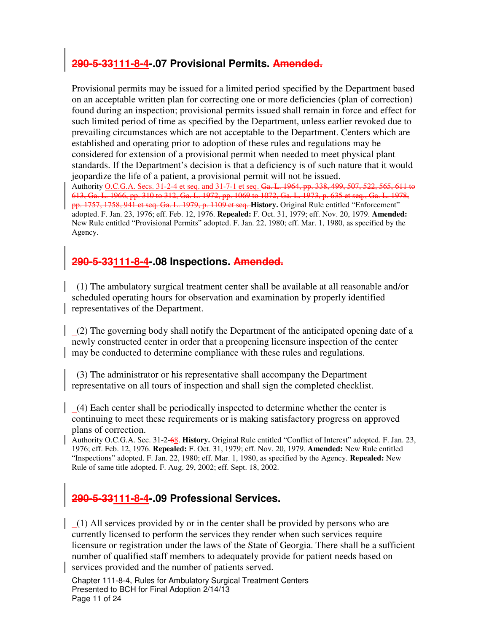## **290-5-33111-8-4-.07 Provisional Permits. Amended.**

Provisional permits may be issued for a limited period specified by the Department based on an acceptable written plan for correcting one or more deficiencies (plan of correction) found during an inspection; provisional permits issued shall remain in force and effect for such limited period of time as specified by the Department, unless earlier revoked due to prevailing circumstances which are not acceptable to the Department. Centers which are established and operating prior to adoption of these rules and regulations may be considered for extension of a provisional permit when needed to meet physical plant standards. If the Department's decision is that a deficiency is of such nature that it would jeopardize the life of a patient, a provisional permit will not be issued.

Authority O.C.G.A. Secs. 31-2-4 et seq. and 31-7-1 et seq. Ga. L. 1964, pp. 338, 499, 507, 522, 565, 611 to 613, Ga. L. 1966, pp. 310 to 312, Ga. L. 1972, pp. 1069 to 1072, Ga. L. 1973, p. 635 et seq., Ga. L. 1978, pp. 1757, 1758, 941 et seq. Ga. L. 1979, p. 1109 et seq. **History.** Original Rule entitled "Enforcement" adopted. F. Jan. 23, 1976; eff. Feb. 12, 1976. **Repealed:** F. Oct. 31, 1979; eff. Nov. 20, 1979. **Amended:**  New Rule entitled "Provisional Permits" adopted. F. Jan. 22, 1980; eff. Mar. 1, 1980, as specified by the Agency.

## **290-5-33111-8-4-.08 Inspections. Amended.**

 $(1)$  The ambulatory surgical treatment center shall be available at all reasonable and/or scheduled operating hours for observation and examination by properly identified representatives of the Department.

 (2) The governing body shall notify the Department of the anticipated opening date of a newly constructed center in order that a preopening licensure inspection of the center may be conducted to determine compliance with these rules and regulations.

 $(3)$  The administrator or his representative shall accompany the Department representative on all tours of inspection and shall sign the completed checklist.

 (4) Each center shall be periodically inspected to determine whether the center is continuing to meet these requirements or is making satisfactory progress on approved plans of correction.

Authority O.C.G.A. Sec. 31-2-68. **History.** Original Rule entitled "Conflict of Interest" adopted. F. Jan. 23, 1976; eff. Feb. 12, 1976. **Repealed:** F. Oct. 31, 1979; eff. Nov. 20, 1979. **Amended:** New Rule entitled "Inspections" adopted. F. Jan. 22, 1980; eff. Mar. 1, 1980, as specified by the Agency. **Repealed:** New Rule of same title adopted. F. Aug. 29, 2002; eff. Sept. 18, 2002.

## **290-5-33111-8-4-.09 Professional Services.**

 (1) All services provided by or in the center shall be provided by persons who are currently licensed to perform the services they render when such services require licensure or registration under the laws of the State of Georgia. There shall be a sufficient number of qualified staff members to adequately provide for patient needs based on services provided and the number of patients served.

Chapter 111-8-4, Rules for Ambulatory Surgical Treatment Centers Presented to BCH for Final Adoption 2/14/13 Page 11 of 24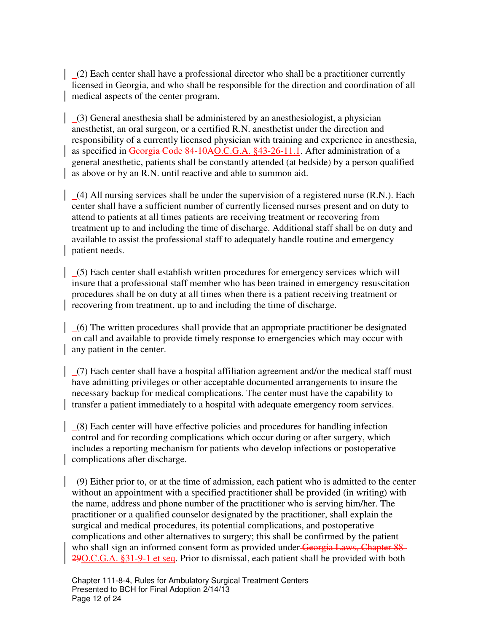$(2)$  Each center shall have a professional director who shall be a practitioner currently licensed in Georgia, and who shall be responsible for the direction and coordination of all medical aspects of the center program.

 $(3)$  General anesthesia shall be administered by an anesthesiologist, a physician anesthetist, an oral surgeon, or a certified R.N. anesthetist under the direction and responsibility of a currently licensed physician with training and experience in anesthesia, as specified in Georgia Code 84-10AO.C.G.A. §43-26-11.1. After administration of a general anesthetic, patients shall be constantly attended (at bedside) by a person qualified as above or by an R.N. until reactive and able to summon aid.

 (4) All nursing services shall be under the supervision of a registered nurse (R.N.). Each center shall have a sufficient number of currently licensed nurses present and on duty to attend to patients at all times patients are receiving treatment or recovering from treatment up to and including the time of discharge. Additional staff shall be on duty and available to assist the professional staff to adequately handle routine and emergency patient needs.

 (5) Each center shall establish written procedures for emergency services which will insure that a professional staff member who has been trained in emergency resuscitation procedures shall be on duty at all times when there is a patient receiving treatment or recovering from treatment, up to and including the time of discharge.

 $(6)$  The written procedures shall provide that an appropriate practitioner be designated on call and available to provide timely response to emergencies which may occur with any patient in the center.

 (7) Each center shall have a hospital affiliation agreement and/or the medical staff must have admitting privileges or other acceptable documented arrangements to insure the necessary backup for medical complications. The center must have the capability to transfer a patient immediately to a hospital with adequate emergency room services.

 (8) Each center will have effective policies and procedures for handling infection control and for recording complications which occur during or after surgery, which includes a reporting mechanism for patients who develop infections or postoperative complications after discharge.

 $(9)$  Either prior to, or at the time of admission, each patient who is admitted to the center without an appointment with a specified practitioner shall be provided (in writing) with the name, address and phone number of the practitioner who is serving him/her. The practitioner or a qualified counselor designated by the practitioner, shall explain the surgical and medical procedures, its potential complications, and postoperative complications and other alternatives to surgery; this shall be confirmed by the patient who shall sign an informed consent form as provided under Georgia Laws, Chapter 88-29O.C.G.A. §31-9-1 et seq. Prior to dismissal, each patient shall be provided with both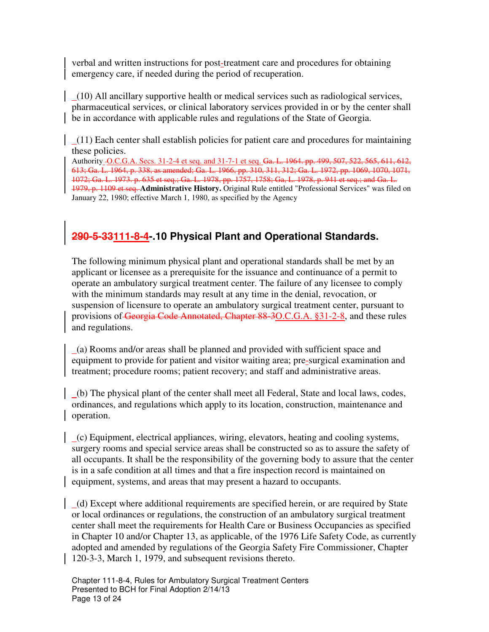verbal and written instructions for post-treatment care and procedures for obtaining emergency care, if needed during the period of recuperation.

 (10) All ancillary supportive health or medical services such as radiological services, pharmaceutical services, or clinical laboratory services provided in or by the center shall be in accordance with applicable rules and regulations of the State of Georgia.

 $(11)$  Each center shall establish policies for patient care and procedures for maintaining these policies.

Authority O.C.G.A. Secs. 31-2-4 et seq. and 31-7-1 et seq. Ga. L. 1964. pp. 499, 507, 522, 565, 611, 612, 613; Ga. L. 1964, p. 338, as amended; Ga. L. 1966, pp. 310, 311, 312; Ga. L. 1972, pp. 1069, 1070, 1071, 1072; Ga. L. 1973. p. 635 et seq.; Ga. L. 1978, pp. 1757, 1758; Ga, L. 1978, p. 941 et seq.; and Ga. L. 1979, p. 1109 et seq. **Administrative History.** Original Rule entitled "Professional Services" was filed on January 22, 1980; effective March 1, 1980, as specified by the Agency

# **290-5-33111-8-4-.10 Physical Plant and Operational Standards.**

The following minimum physical plant and operational standards shall be met by an applicant or licensee as a prerequisite for the issuance and continuance of a permit to operate an ambulatory surgical treatment center. The failure of any licensee to comply with the minimum standards may result at any time in the denial, revocation, or suspension of licensure to operate an ambulatory surgical treatment center, pursuant to provisions of Georgia Code Annotated, Chapter 88-3O.C.G.A. §31-2-8, and these rules and regulations.

 (a) Rooms and/or areas shall be planned and provided with sufficient space and equipment to provide for patient and visitor waiting area; pre-surgical examination and treatment; procedure rooms; patient recovery; and staff and administrative areas.

 (b) The physical plant of the center shall meet all Federal, State and local laws, codes, ordinances, and regulations which apply to its location, construction, maintenance and operation.

 (c) Equipment, electrical appliances, wiring, elevators, heating and cooling systems, surgery rooms and special service areas shall be constructed so as to assure the safety of all occupants. It shall be the responsibility of the governing body to assure that the center is in a safe condition at all times and that a fire inspection record is maintained on equipment, systems, and areas that may present a hazard to occupants.

 (d) Except where additional requirements are specified herein, or are required by State or local ordinances or regulations, the construction of an ambulatory surgical treatment center shall meet the requirements for Health Care or Business Occupancies as specified in Chapter 10 and/or Chapter 13, as applicable, of the 1976 Life Safety Code, as currently adopted and amended by regulations of the Georgia Safety Fire Commissioner, Chapter 120-3-3, March 1, 1979, and subsequent revisions thereto.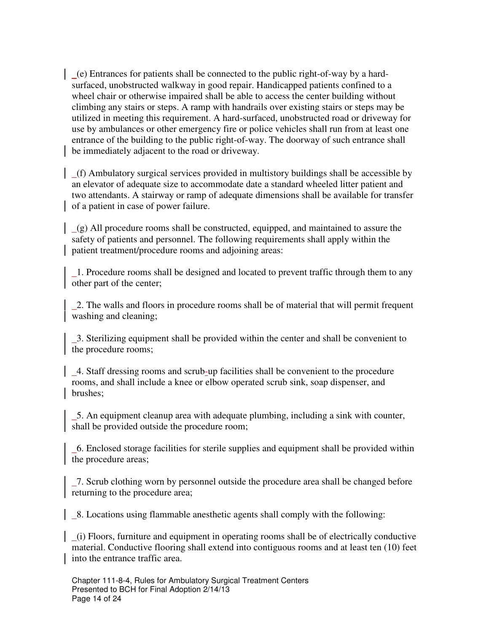(e) Entrances for patients shall be connected to the public right-of-way by a hardsurfaced, unobstructed walkway in good repair. Handicapped patients confined to a wheel chair or otherwise impaired shall be able to access the center building without climbing any stairs or steps. A ramp with handrails over existing stairs or steps may be utilized in meeting this requirement. A hard-surfaced, unobstructed road or driveway for use by ambulances or other emergency fire or police vehicles shall run from at least one entrance of the building to the public right-of-way. The doorway of such entrance shall be immediately adjacent to the road or driveway.

 (f) Ambulatory surgical services provided in multistory buildings shall be accessible by an elevator of adequate size to accommodate date a standard wheeled litter patient and two attendants. A stairway or ramp of adequate dimensions shall be available for transfer of a patient in case of power failure.

 (g) All procedure rooms shall be constructed, equipped, and maintained to assure the safety of patients and personnel. The following requirements shall apply within the patient treatment/procedure rooms and adjoining areas:

 1. Procedure rooms shall be designed and located to prevent traffic through them to any other part of the center;

 2. The walls and floors in procedure rooms shall be of material that will permit frequent washing and cleaning;

 3. Sterilizing equipment shall be provided within the center and shall be convenient to the procedure rooms;

 4. Staff dressing rooms and scrub-up facilities shall be convenient to the procedure rooms, and shall include a knee or elbow operated scrub sink, soap dispenser, and brushes;

 5. An equipment cleanup area with adequate plumbing, including a sink with counter, shall be provided outside the procedure room;

 6. Enclosed storage facilities for sterile supplies and equipment shall be provided within the procedure areas;

 7. Scrub clothing worn by personnel outside the procedure area shall be changed before returning to the procedure area;

8. Locations using flammable anesthetic agents shall comply with the following:

 (i) Floors, furniture and equipment in operating rooms shall be of electrically conductive material. Conductive flooring shall extend into contiguous rooms and at least ten (10) feet into the entrance traffic area.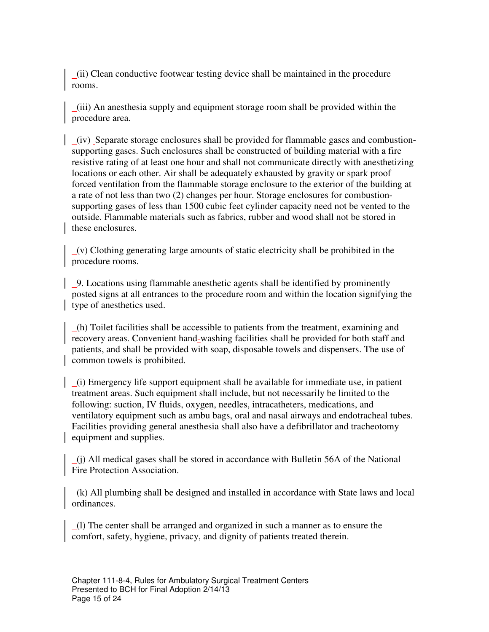(ii) Clean conductive footwear testing device shall be maintained in the procedure rooms.

 (iii) An anesthesia supply and equipment storage room shall be provided within the procedure area.

 (iv) Separate storage enclosures shall be provided for flammable gases and combustionsupporting gases. Such enclosures shall be constructed of building material with a fire resistive rating of at least one hour and shall not communicate directly with anesthetizing locations or each other. Air shall be adequately exhausted by gravity or spark proof forced ventilation from the flammable storage enclosure to the exterior of the building at a rate of not less than two (2) changes per hour. Storage enclosures for combustionsupporting gases of less than 1500 cubic feet cylinder capacity need not be vented to the outside. Flammable materials such as fabrics, rubber and wood shall not be stored in these enclosures.

 (v) Clothing generating large amounts of static electricity shall be prohibited in the procedure rooms.

 9. Locations using flammable anesthetic agents shall be identified by prominently posted signs at all entrances to the procedure room and within the location signifying the type of anesthetics used.

 (h) Toilet facilities shall be accessible to patients from the treatment, examining and recovery areas. Convenient hand-washing facilities shall be provided for both staff and patients, and shall be provided with soap, disposable towels and dispensers. The use of common towels is prohibited.

 (i) Emergency life support equipment shall be available for immediate use, in patient treatment areas. Such equipment shall include, but not necessarily be limited to the following: suction, IV fluids, oxygen, needles, intracatheters, medications, and ventilatory equipment such as ambu bags, oral and nasal airways and endotracheal tubes. Facilities providing general anesthesia shall also have a defibrillator and tracheotomy equipment and supplies.

 $(j)$  All medical gases shall be stored in accordance with Bulletin 56A of the National Fire Protection Association.

 $(k)$  All plumbing shall be designed and installed in accordance with State laws and local ordinances.

 (l) The center shall be arranged and organized in such a manner as to ensure the comfort, safety, hygiene, privacy, and dignity of patients treated therein.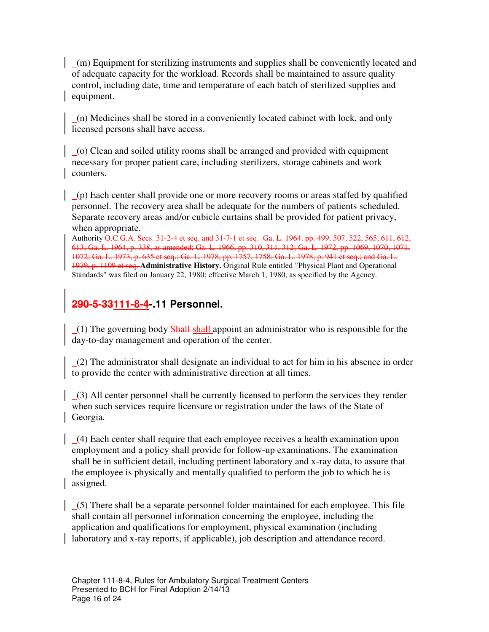(m) Equipment for sterilizing instruments and supplies shall be conveniently located and of adequate capacity for the workload. Records shall be maintained to assure quality control, including date, time and temperature of each batch of sterilized supplies and equipment.

 (n) Medicines shall be stored in a conveniently located cabinet with lock, and only licensed persons shall have access.

 (o) Clean and soiled utility rooms shall be arranged and provided with equipment necessary for proper patient care, including sterilizers, storage cabinets and work counters.

 (p) Each center shall provide one or more recovery rooms or areas staffed by qualified personnel. The recovery area shall be adequate for the numbers of patients scheduled. Separate recovery areas and/or cubicle curtains shall be provided for patient privacy, when appropriate.

Authority O.C.G.A. Secs. 31-2-4 et seq. and 31-7-1 et seq. Ga. L. 1964. pp. 499, 507, 522, 565, 611, 612, 613; Ga. L. 1964, p. 338, as amended; Ga. L. 1966, pp. 310, 311, 312; Ga. L. 1972, pp. 1069, 1070, 1071, 1072; Ga. L. 1973, p. 635 et seq.; Ga. L. 1978, pp. 1757, 1758; Ga. L. 1978, p. 941 et seq.; and Ga. L. 1979, p. 1109 et seq. **Administrative History.** Original Rule entitled "Physical Plant and Operational Standards" was filed on January 22, 1980; effective March 1, 1980, as specified by the Agency.

# **290-5-33111-8-4-.11 Personnel.**

 $(1)$  The governing body **Shall-shall** appoint an administrator who is responsible for the day-to-day management and operation of the center.

 (2) The administrator shall designate an individual to act for him in his absence in order to provide the center with administrative direction at all times.

 (3) All center personnel shall be currently licensed to perform the services they render when such services require licensure or registration under the laws of the State of Georgia.

 (4) Each center shall require that each employee receives a health examination upon employment and a policy shall provide for follow-up examinations. The examination shall be in sufficient detail, including pertinent laboratory and x-ray data, to assure that the employee is physically and mentally qualified to perform the job to which he is assigned.

 (5) There shall be a separate personnel folder maintained for each employee. This file shall contain all personnel information concerning the employee, including the application and qualifications for employment, physical examination (including laboratory and x-ray reports, if applicable), job description and attendance record.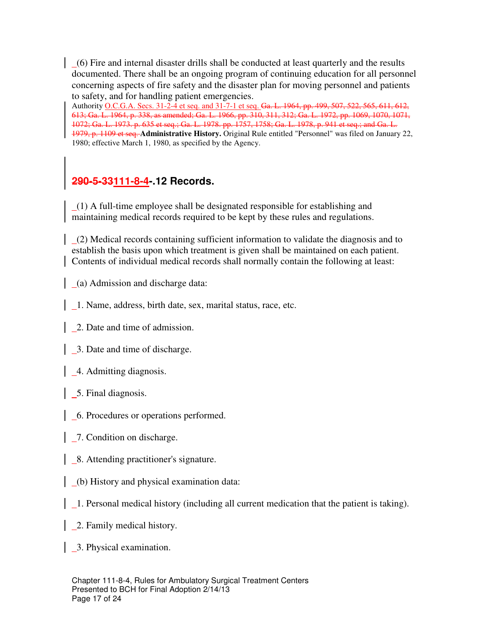(6) Fire and internal disaster drills shall be conducted at least quarterly and the results documented. There shall be an ongoing program of continuing education for all personnel concerning aspects of fire safety and the disaster plan for moving personnel and patients to safety, and for handling patient emergencies.

Authority O.C.G.A. Secs. 31-2-4 et seq. and 31-7-1 et seq. Ga. L. 1964, pp. 499, 507, 522, 565, 611, 612, 613; Ga. L. 1964, p. 338, as amended; Ga. L. 1966, pp. 310, 311, 312; Ga. L. 1972, pp. 1069, 1070, 1071, 1072; Ga. L. 1973. p. 635 et seq.; Ga. L. 1978. pp. 1757, 1758; Ga. L. 1978, p. 941 et seq.; and Ga. L. 1979, p. 1109 et seq. **Administrative History.** Original Rule entitled "Personnel" was filed on January 22, 1980; effective March 1, 1980, as specified by the Agency.

## **290-5-33111-8-4-.12 Records.**

 (1) A full-time employee shall be designated responsible for establishing and maintaining medical records required to be kept by these rules and regulations.

 (2) Medical records containing sufficient information to validate the diagnosis and to establish the basis upon which treatment is given shall be maintained on each patient. Contents of individual medical records shall normally contain the following at least:

(a) Admission and discharge data:

- 1. Name, address, birth date, sex, marital status, race, etc.
- 2. Date and time of admission.
- 3. Date and time of discharge.
- 4. Admitting diagnosis.
- 5. Final diagnosis.
- 6. Procedures or operations performed.
- 7. Condition on discharge.
- 8. Attending practitioner's signature.
- (b) History and physical examination data:
- 1. Personal medical history (including all current medication that the patient is taking).
- 2. Family medical history.
- 3. Physical examination.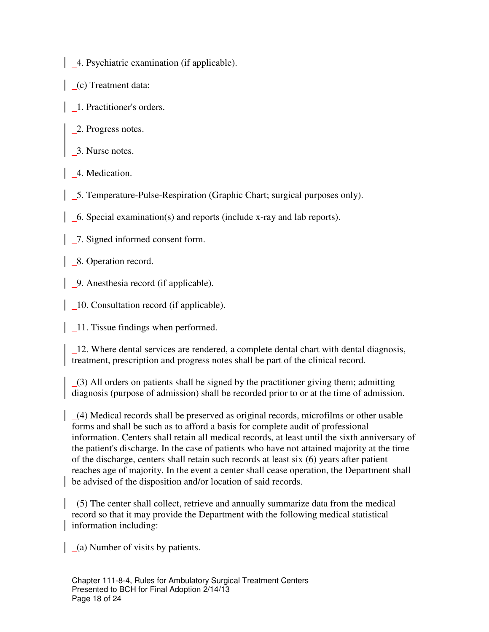- 4. Psychiatric examination (if applicable).
- (c) Treatment data:
- 1. Practitioner's orders.
- 2. Progress notes.
- 3. Nurse notes.
- 4. Medication.
- 5. Temperature-Pulse-Respiration (Graphic Chart; surgical purposes only).
- 6. Special examination(s) and reports (include x-ray and lab reports).
- 7. Signed informed consent form.
- 8. Operation record.
- 9. Anesthesia record (if applicable).
- 10. Consultation record (if applicable).
- $\vert$   $\vert$  11. Tissue findings when performed.

 12. Where dental services are rendered, a complete dental chart with dental diagnosis, treatment, prescription and progress notes shall be part of the clinical record.

 (3) All orders on patients shall be signed by the practitioner giving them; admitting diagnosis (purpose of admission) shall be recorded prior to or at the time of admission.

 (4) Medical records shall be preserved as original records, microfilms or other usable forms and shall be such as to afford a basis for complete audit of professional information. Centers shall retain all medical records, at least until the sixth anniversary of the patient's discharge. In the case of patients who have not attained majority at the time of the discharge, centers shall retain such records at least six (6) years after patient reaches age of majority. In the event a center shall cease operation, the Department shall be advised of the disposition and/or location of said records.

 $(5)$  The center shall collect, retrieve and annually summarize data from the medical record so that it may provide the Department with the following medical statistical information including:

 $(a)$  Number of visits by patients.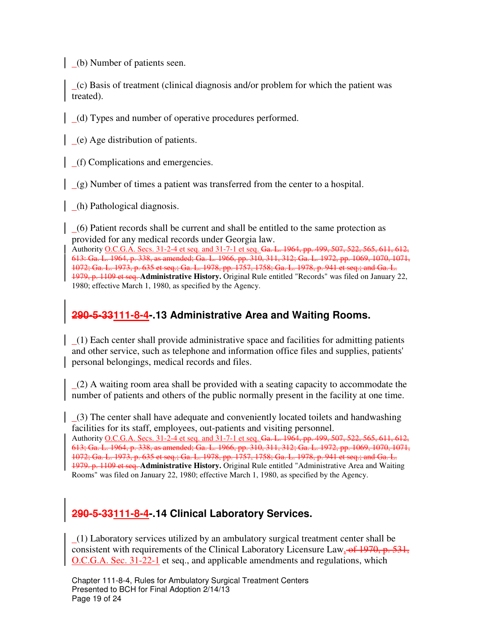(b) Number of patients seen.

 (c) Basis of treatment (clinical diagnosis and/or problem for which the patient was treated).

(d) Types and number of operative procedures performed.

(e) Age distribution of patients.

(f) Complications and emergencies.

(g) Number of times a patient was transferred from the center to a hospital.

(h) Pathological diagnosis.

 (6) Patient records shall be current and shall be entitled to the same protection as provided for any medical records under Georgia law.

Authority O.C.G.A. Secs. 31-2-4 et seq. and 31-7-1 et seq. Ga. L. 1964, pp. 499, 507, 522, 565, 611, 612, 613: Ga. L. 1964, p. 338, as amended; Ga. L. 1966, pp. 310, 311, 312; Ga. L. 1972, pp. 1069, 1070, 1071, 1072; Ga. L. 1973, p. 635 et seq.; Ga. L. 1978, pp. 1757, 1758; Ga. L. 1978, p. 941 et seq.; and Ga. L. 1979, p. 1109 et seq. **Administrative History.** Original Rule entitled "Records" was filed on January 22, 1980; effective March 1, 1980, as specified by the Agency.

## **290-5-33111-8-4-.13 Administrative Area and Waiting Rooms.**

 (1) Each center shall provide administrative space and facilities for admitting patients and other service, such as telephone and information office files and supplies, patients' personal belongings, medical records and files.

 $(2)$  A waiting room area shall be provided with a seating capacity to accommodate the number of patients and others of the public normally present in the facility at one time.

 (3) The center shall have adequate and conveniently located toilets and handwashing facilities for its staff, employees, out-patients and visiting personnel. Authority O.C.G.A. Secs. 31-2-4 et seq. and 31-7-1 et seq. Ga. L. 1964, pp. 499, 507, 522, 565, 611, 612, 613; Ga. L. 1964, p. 338, as amended; Ga. L. 1966, pp. 310, 311, 312; Ga. L. 1972, pp. 1069, 1070, 1071, 1072; Ga. L. 1973, p. 635 et seq.; Ga. L. 1978, pp. 1757, 1758; Ga. L. 1978, p. 941 et seq.; and Ga. L. 1979. p. 1109 et seq. **Administrative History.** Original Rule entitled "Administrative Area and Waiting Rooms" was filed on January 22, 1980; effective March 1, 1980, as specified by the Agency.

# **290-5-33111-8-4-.14 Clinical Laboratory Services.**

 $(1)$  Laboratory services utilized by an ambulatory surgical treatment center shall be consistent with requirements of the Clinical Laboratory Licensure Law, of 1970, p. 531, O.C.G.A. Sec. 31-22-1 et seq., and applicable amendments and regulations, which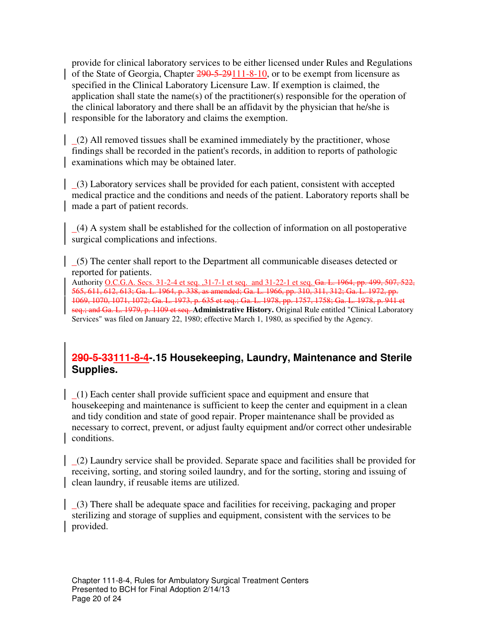provide for clinical laboratory services to be either licensed under Rules and Regulations of the State of Georgia, Chapter 290-5-29111-8-10, or to be exempt from licensure as specified in the Clinical Laboratory Licensure Law. If exemption is claimed, the application shall state the name(s) of the practitioner(s) responsible for the operation of the clinical laboratory and there shall be an affidavit by the physician that he/she is responsible for the laboratory and claims the exemption.

 (2) All removed tissues shall be examined immediately by the practitioner, whose findings shall be recorded in the patient's records, in addition to reports of pathologic examinations which may be obtained later.

 $(3)$  Laboratory services shall be provided for each patient, consistent with accepted medical practice and the conditions and needs of the patient. Laboratory reports shall be made a part of patient records.

 (4) A system shall be established for the collection of information on all postoperative surgical complications and infections.

 (5) The center shall report to the Department all communicable diseases detected or reported for patients.

Authority O.C.G.A. Secs. 31-2-4 et seq. ,31-7-1 et seq. and 31-22-1 et seq. Ga. L. 1964, pp. 499, 507, 522, 565, 611, 612, 613; Ga. L. 1964, p. 338, as amended; Ga. L. 1966, pp. 310, 311, 312; Ga. L. 1972, pp. 1069, 1070, 1071, 1072; Ga. L. 1973, p. 635 et seq.; Ga. L. 1978, pp. 1757, 1758; Ga. L. 1978, p. 941 et seq.; and Ga. L. 1979, p. 1109 et seq. **Administrative History.** Original Rule entitled "Clinical Laboratory Services" was filed on January 22, 1980; effective March 1, 1980, as specified by the Agency.

## **290-5-33111-8-4-.15 Housekeeping, Laundry, Maintenance and Sterile Supplies.**

 (1) Each center shall provide sufficient space and equipment and ensure that housekeeping and maintenance is sufficient to keep the center and equipment in a clean and tidy condition and state of good repair. Proper maintenance shall be provided as necessary to correct, prevent, or adjust faulty equipment and/or correct other undesirable conditions.

 (2) Laundry service shall be provided. Separate space and facilities shall be provided for receiving, sorting, and storing soiled laundry, and for the sorting, storing and issuing of clean laundry, if reusable items are utilized.

 (3) There shall be adequate space and facilities for receiving, packaging and proper sterilizing and storage of supplies and equipment, consistent with the services to be provided.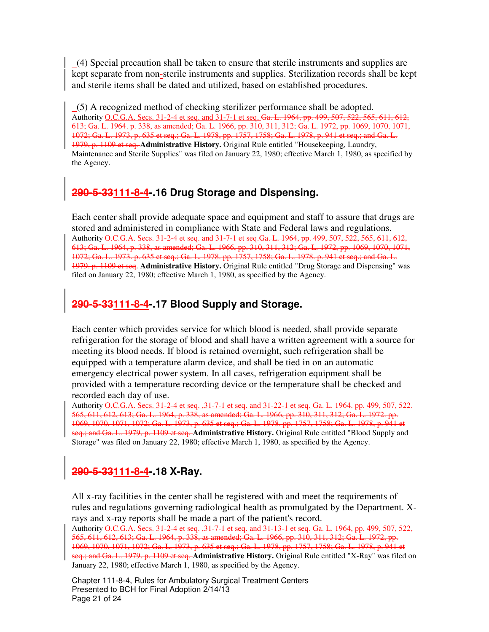(4) Special precaution shall be taken to ensure that sterile instruments and supplies are kept separate from non-sterile instruments and supplies. Sterilization records shall be kept and sterile items shall be dated and utilized, based on established procedures.

 (5) A recognized method of checking sterilizer performance shall be adopted. Authority O.C.G.A. Secs. 31-2-4 et seq. and 31-7-1 et seq. Ga. L. 1964, pp. 499, 507, 522, 565, 611, 612, 613; Ga. L. 1964. p. 338, as amended; Ga. L. 1966, pp. 310, 311, 312; Ga. L. 1972, pp. 1069, 1070, 1071, 1072; Ga. L. 1973, p. 635 et seq.; Ga. L. 1978, pp. 1757, 1758; Ga. L. 1978, p. 941 et seq.; and Ga. L. 1979, p. 1109 et seq. **Administrative History.** Original Rule entitled "Housekeeping, Laundry, Maintenance and Sterile Supplies" was filed on January 22, 1980; effective March 1, 1980, as specified by the Agency.

# **290-5-33111-8-4-.16 Drug Storage and Dispensing.**

Each center shall provide adequate space and equipment and staff to assure that drugs are stored and administered in compliance with State and Federal laws and regulations. Authority O.C.G.A. Secs. 31-2-4 et seq. and 31-7-1 et seq.Ga. L. 1964, pp. 499, 507, 522, 565, 611, 612, 613; Ga. L. 1964, p. 338, as amended; Ga. L. 1966, pp. 310, 311, 312; Ga. L. 1972, pp. 1069, 1070, 1071, 1072; Ga. L. 1973. p. 635 et seq.; Ga. L. 1978. pp. 1757, 1758; Ga. L. 1978. p. 941 et seq.; and Ga. L. 1979. p. 1109 et seq. **Administrative History.** Original Rule entitled "Drug Storage and Dispensing" was filed on January 22, 1980; effective March 1, 1980, as specified by the Agency.

## **290-5-33111-8-4-.17 Blood Supply and Storage.**

Each center which provides service for which blood is needed, shall provide separate refrigeration for the storage of blood and shall have a written agreement with a source for meeting its blood needs. If blood is retained overnight, such refrigeration shall be equipped with a temperature alarm device, and shall be tied in on an automatic emergency electrical power system. In all cases, refrigeration equipment shall be provided with a temperature recording device or the temperature shall be checked and recorded each day of use.

Authority O.C.G.A. Secs. 31-2-4 et seq. ,31-7-1 et seq. and 31-22-1 et seq. Ga. L. 1964. pp. 499, 507, 522. 565, 611, 612, 613; Ga. L. 1964, p. 338, as amended; Ga. L. 1966, pp. 310, 311, 312; Ga. L. 1972. pp. 1069, 1070, 1071, 1072; Ga. L. 1973, p. 635 et seq.; Ga. L. 1978. pp. 1757, 1758; Ga. L. 1978, p. 941 et seq.; and Ga. L. 1979, p. 1109 et seq. Administrative History. Original Rule entitled "Blood Supply and Storage" was filed on January 22, 1980; effective March 1, 1980, as specified by the Agency.

## **290-5-33111-8-4-.18 X-Ray.**

All x-ray facilities in the center shall be registered with and meet the requirements of rules and regulations governing radiological health as promulgated by the Department. Xrays and x-ray reports shall be made a part of the patient's record. Authority O.C.G.A. Secs. 31-2-4 et seq. ,31-7-1 et seq. and 31-13-1 et seq. Ga. L. 1964, pp. 499, 507, 522, 565, 611, 612, 613; Ga. L. 1964, p. 338, as amended; Ga. L. 1966, pp. 310, 311, 312; Ga. L. 1972, pp. 1069, 1070, 1071, 1072; Ga. L. 1973, p. 635 et seq.; Ga. L. 1978, pp. 1757, 1758; Ga. L. 1978, p. 941 et seq.; and Ga. L. 1979. p. 1109 et seq. **Administrative History.** Original Rule entitled "X-Ray" was filed on January 22, 1980; effective March 1, 1980, as specified by the Agency.

Chapter 111-8-4, Rules for Ambulatory Surgical Treatment Centers Presented to BCH for Final Adoption 2/14/13 Page 21 of 24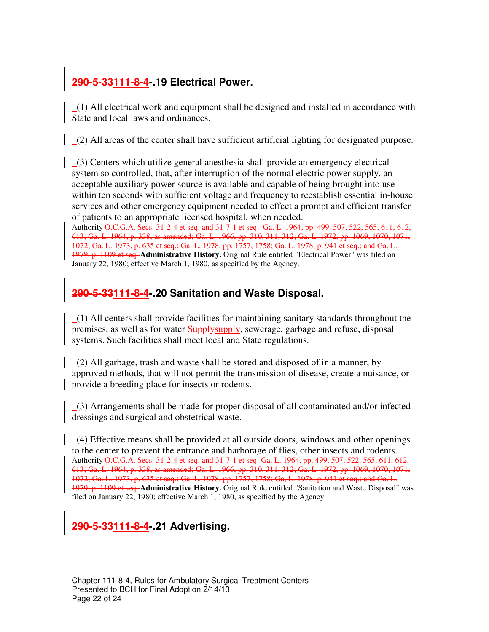## **290-5-33111-8-4-.19 Electrical Power.**

 (1) All electrical work and equipment shall be designed and installed in accordance with State and local laws and ordinances.

(2) All areas of the center shall have sufficient artificial lighting for designated purpose.

 (3) Centers which utilize general anesthesia shall provide an emergency electrical system so controlled, that, after interruption of the normal electric power supply, an acceptable auxiliary power source is available and capable of being brought into use within ten seconds with sufficient voltage and frequency to reestablish essential in-house services and other emergency equipment needed to effect a prompt and efficient transfer of patients to an appropriate licensed hospital, when needed.

Authority O.C.G.A. Secs. 31-2-4 et seq. and 31-7-1 et seq. Ga. L. 1964, pp. 499, 507, 522, 565, 611, 612, 613; Ga. L. 1964, p. 338, as amended; Ga. L. 1966, pp. 310, 311, 312; Ga. L. 1972, pp. 1069, 1070, 1071, 1072; Ga. L. 1973, p. 635 et seq.; Ga. L. 1978, pp. 1757, 1758; Ga. L. 1978, p. 941 et seq.; and Ga. L. 1979, p. 1109 et seq. **Administrative History.** Original Rule entitled "Electrical Power" was filed on January 22, 1980; effective March 1, 1980, as specified by the Agency.

## **290-5-33111-8-4-.20 Sanitation and Waste Disposal.**

 (1) All centers shall provide facilities for maintaining sanitary standards throughout the premises, as well as for water **Supplysupply**, sewerage, garbage and refuse, disposal systems. Such facilities shall meet local and State regulations.

 (2) All garbage, trash and waste shall be stored and disposed of in a manner, by approved methods, that will not permit the transmission of disease, create a nuisance, or provide a breeding place for insects or rodents.

 (3) Arrangements shall be made for proper disposal of all contaminated and/or infected dressings and surgical and obstetrical waste.

 (4) Effective means shall be provided at all outside doors, windows and other openings to the center to prevent the entrance and harborage of flies, other insects and rodents. Authority O.C.G.A. Secs. 31-2-4 et seq. and 31-7-1 et seq. Ga. L. 1964, pp. 499, 507, 522, 565, 611, 612, 613; Ga. L. 1964, p. 338, as amended; Ga. L. 1966, pp. 310, 311, 312; Ga. L. 1972, pp. 1069, 1070, 1071, 1072; Ga. L. 1973, p. 635 et seq.; Ga. L. 1978, pp, 1757, 1758; Ga, L. 1978, p. 941 et seq.; and Ga. L. 1979, p. 1109 et seq. **Administrative History.** Original Rule entitled "Sanitation and Waste Disposal" was filed on January 22, 1980; effective March 1, 1980, as specified by the Agency.

## **290-5-33111-8-4-.21 Advertising.**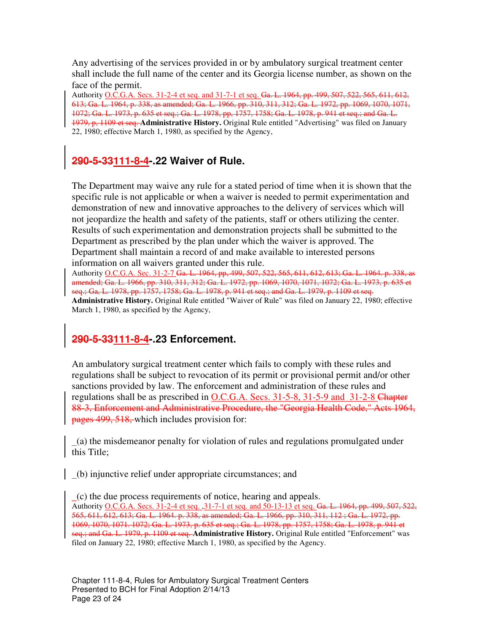Any advertising of the services provided in or by ambulatory surgical treatment center shall include the full name of the center and its Georgia license number, as shown on the face of the permit.

Authority O.C.G.A. Secs. 31-2-4 et seq. and 31-7-1 et seq. Ga. L. 1964, pp. 499, 507, 522, 565, 611, 612, 613; Ga. L. 1964, p. 338, as amended; Ga. L. 1966, pp. 310, 311, 312; Ga. L. 1972, pp. 1069, 1070, 1071, 1072; Ga. L. 1973, p. 635 et seq.; Ga. L. 1978, pp, 1757, 1758; Ga. L. 1978, p. 941 et seq.; and Ga. L. 1979, p, 1109 et seq. **Administrative History.** Original Rule entitled "Advertising" was filed on January 22, 1980; effective March 1, 1980, as specified by the Agency,

## **290-5-33111-8-4-.22 Waiver of Rule.**

The Department may waive any rule for a stated period of time when it is shown that the specific rule is not applicable or when a waiver is needed to permit experimentation and demonstration of new and innovative approaches to the delivery of services which will not jeopardize the health and safety of the patients, staff or others utilizing the center. Results of such experimentation and demonstration projects shall be submitted to the Department as prescribed by the plan under which the waiver is approved. The Department shall maintain a record of and make available to interested persons information on all waivers granted under this rule.

Authority O.C.G.A. Sec. 31-2-7 Ga. L. 1964, pp, 499, 507, 522, 565, 611, 612, 613; Ga. L. 1964. p. 338, as amended; Ga. L. 1966, pp. 310, 311, 312; Ga. L. 1972, pp. 1069, 1070, 1071, 1072; Ga. L. 1973, p. 635 et seq.; Ga, L. 1978, pp. 1757, 1758; Ga. L. 1978, p. 941 et seq.; and Ga. L. 1979, p. 1109 et seq. **Administrative History.** Original Rule entitled "Waiver of Rule" was filed on January 22, 1980; effective March 1, 1980, as specified by the Agency,

# **290-5-33111-8-4-.23 Enforcement.**

An ambulatory surgical treatment center which fails to comply with these rules and regulations shall be subject to revocation of its permit or provisional permit and/or other sanctions provided by law. The enforcement and administration of these rules and regulations shall be as prescribed in O.C.G.A. Secs. 31-5-8, 31-5-9 and 31-2-8 Chapter 88-3, Enforcement and Administrative Procedure, the "Georgia Health Code," Acts 1964, pages 499, 518, which includes provision for:

 (a) the misdemeanor penalty for violation of rules and regulations promulgated under this Title;

(b) injunctive relief under appropriate circumstances; and

 (c) the due process requirements of notice, hearing and appeals. Authority O.C.G.A. Secs. 31-2-4 et seq. ,31-7-1 et seq. and 50-13-13 et seq. Ga. L. 1964, pp. 499, 507, 522, 565, 611, 612, 613; Ga. L. 1964. p. 338, as amended; Ga. L. 1966, pp. 310, 311, 112 ; Ga. L. 1972, pp. 1069, 1070, 1071. 1072; Ga. L. 1973, p. 635 et seq.; Ga. L. 1978, pp. 1757, 1758; Ga. L. 1978, p. 941 et seq.; and Ga. L. 1979, p. 1109 et seq. Administrative History. Original Rule entitled "Enforcement" was filed on January 22, 1980; effective March 1, 1980, as specified by the Agency.